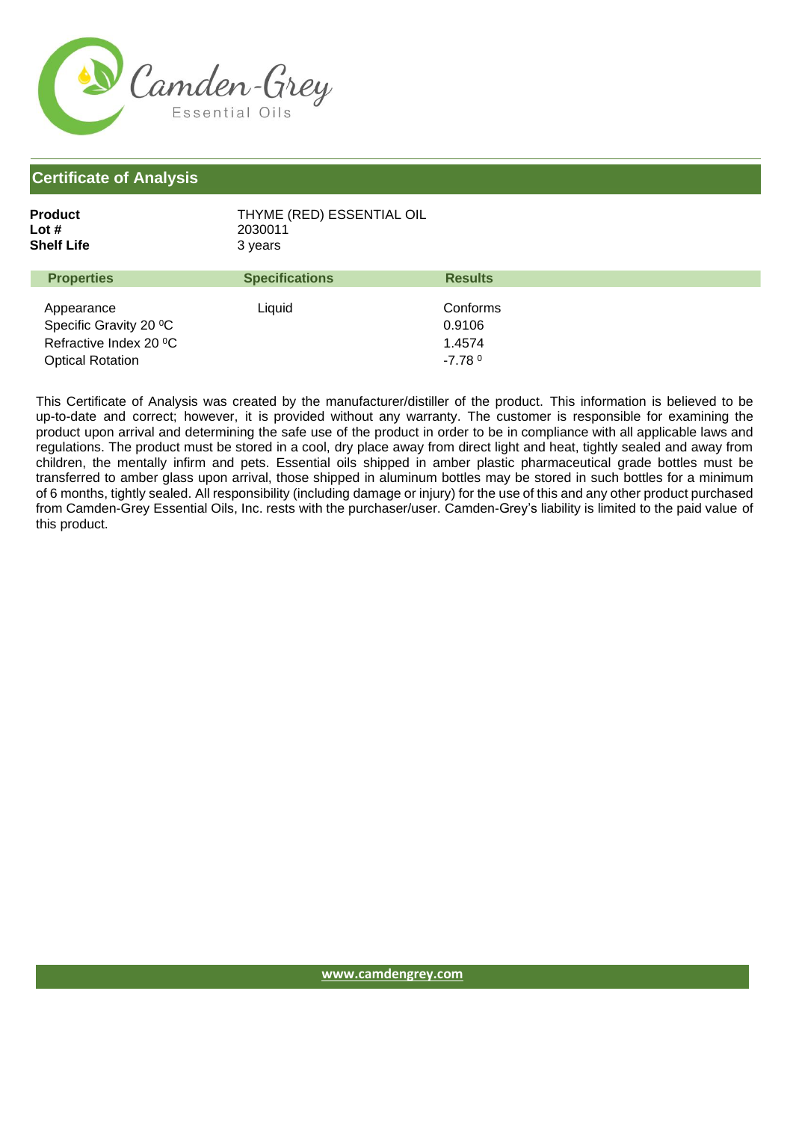

## **Certificate of Analysis**

| Product    | THYME (RED) ESSENTIAL OIL |
|------------|---------------------------|
| Lot #      | 2030011                   |
| Shelf Life | 3 years                   |
|            |                           |

| <b>Properties</b>                                                                         | <b>Specifications</b> | <b>Results</b>                           |
|-------------------------------------------------------------------------------------------|-----------------------|------------------------------------------|
| Appearance<br>Specific Gravity 20 °C<br>Refractive Index 20 °C<br><b>Optical Rotation</b> | Liquid                | Conforms<br>0.9106<br>1.4574<br>$-7.780$ |

This Certificate of Analysis was created by the manufacturer/distiller of the product. This information is believed to be up-to-date and correct; however, it is provided without any warranty. The customer is responsible for examining the product upon arrival and determining the safe use of the product in order to be in compliance with all applicable laws and regulations. The product must be stored in a cool, dry place away from direct light and heat, tightly sealed and away from children, the mentally infirm and pets. Essential oils shipped in amber plastic pharmaceutical grade bottles must be transferred to amber glass upon arrival, those shipped in aluminum bottles may be stored in such bottles for a minimum of 6 months, tightly sealed. All responsibility (including damage or injury) for the use of this and any other product purchased from Camden-Grey Essential Oils, Inc. rests with the purchaser/user. Camden-Grey's liability is limited to the paid value of this product.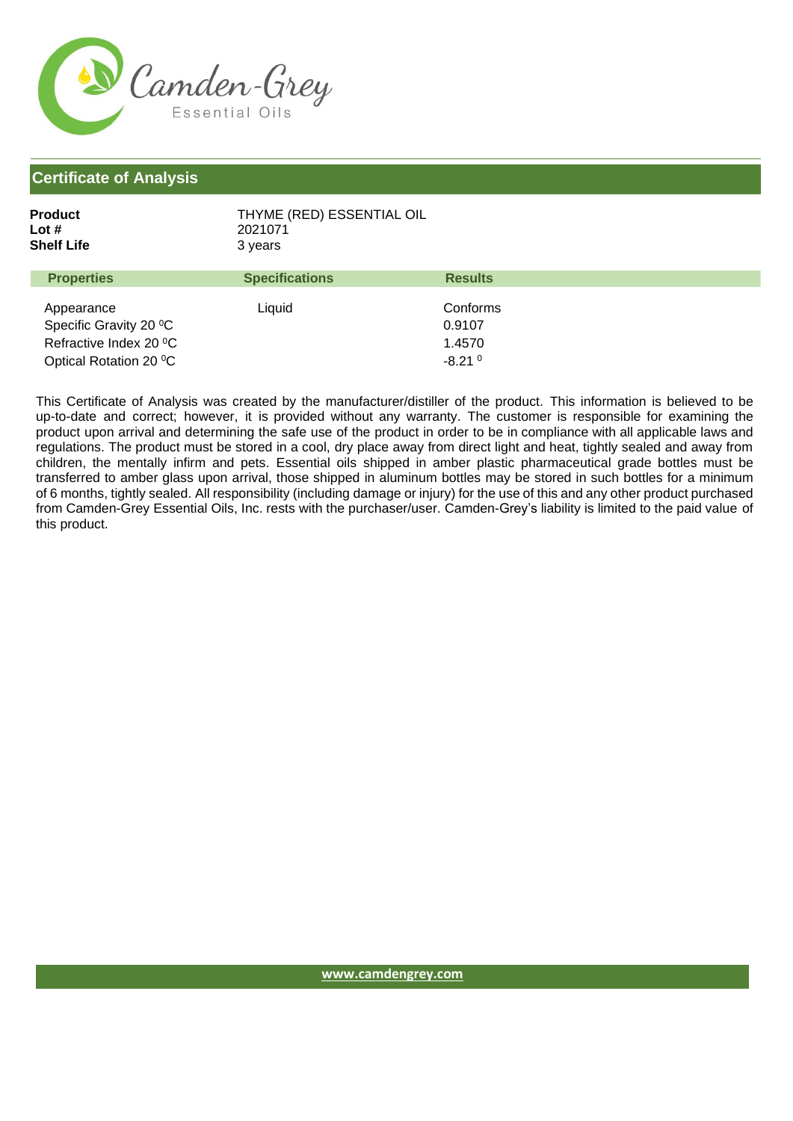

## **Certificate of Analysis**

| Product    | THYME (RED) ESSENTIAL OIL |
|------------|---------------------------|
| Lot #      | 2021071                   |
| Shelf Life | 3 years                   |
|            |                           |

| <b>Properties</b>      | <b>Specifications</b> | <b>Results</b>       |  |
|------------------------|-----------------------|----------------------|--|
| Appearance             | Liquid                | Conforms             |  |
| Specific Gravity 20 °C |                       | 0.9107               |  |
| Refractive Index 20 °C |                       | 1.4570               |  |
| Optical Rotation 20 °C |                       | $-8.21$ <sup>0</sup> |  |

This Certificate of Analysis was created by the manufacturer/distiller of the product. This information is believed to be up-to-date and correct; however, it is provided without any warranty. The customer is responsible for examining the product upon arrival and determining the safe use of the product in order to be in compliance with all applicable laws and regulations. The product must be stored in a cool, dry place away from direct light and heat, tightly sealed and away from children, the mentally infirm and pets. Essential oils shipped in amber plastic pharmaceutical grade bottles must be transferred to amber glass upon arrival, those shipped in aluminum bottles may be stored in such bottles for a minimum of 6 months, tightly sealed. All responsibility (including damage or injury) for the use of this and any other product purchased from Camden-Grey Essential Oils, Inc. rests with the purchaser/user. Camden-Grey's liability is limited to the paid value of this product.